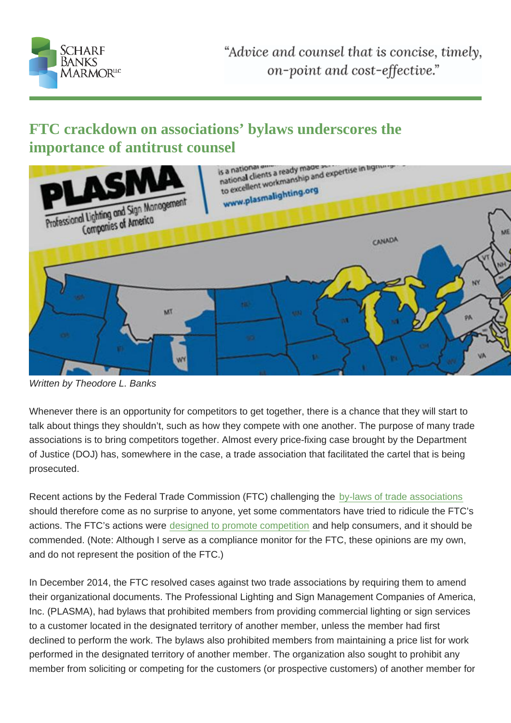FTC crackdown on associations' bylaws underscores the importance of antitrust counsel

Written by Theodore L. Banks

Whenever there is an opportunity for competitors to get together, there is a chance that they will start to talk about things they shouldn't, such as how they compete with one another. The purpose of many trade associations is to bring competitors together. Almost every price-fixing case brought by the Department of Justice (DOJ) has, somewhere in the case, a trade association that facilitated the cartel that is being prosecuted.

Recent actions by the Federal Trade Commission (FTC) challenging the by-laws of trade associations should therefore come as no surprise to anyone, yet some commentators have tried to ridicule the FTC's actions. The FTC's actions were designed to promote competition and help consumers, and it should be commended. (Note: Although I serve as a compliance monitor for the FT[C, these opinions are my own](http://www.ftc.gov/news-events/press-releases/2014/12/settle-ftc-charges-two-trade-associations-agree-eliminate-rules), and do not represent the position of the FTC.)

In December 2014, the FTC resolved cases against two trade associations by requiring them to amend their organizational documents. The Professional Lighting and Sign Management Companies of America, Inc. (PLASMA), had bylaws that prohibited members from providing commercial lighting or sign services to a customer located in the designated territory of another member, unless the member had first declined to perform the work. The bylaws also prohibited members from maintaining a price list for work performed in the designated territory of another member. The organization also sought to prohibit any member from soliciting or competing for the customers (or prospective customers) of another member for